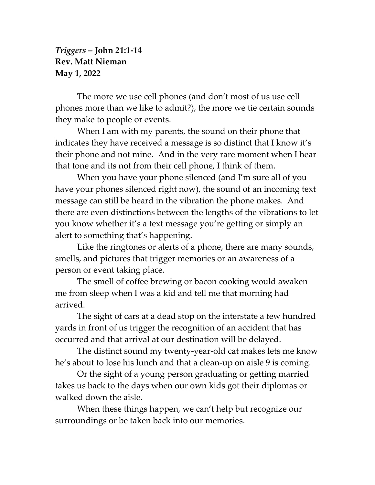## *Triggers* **– John 21:1-14 Rev. Matt Nieman May 1, 2022**

The more we use cell phones (and don't most of us use cell phones more than we like to admit?), the more we tie certain sounds they make to people or events.

When I am with my parents, the sound on their phone that indicates they have received a message is so distinct that I know it's their phone and not mine. And in the very rare moment when I hear that tone and its not from their cell phone, I think of them.

When you have your phone silenced (and I'm sure all of you have your phones silenced right now), the sound of an incoming text message can still be heard in the vibration the phone makes. And there are even distinctions between the lengths of the vibrations to let you know whether it's a text message you're getting or simply an alert to something that's happening.

Like the ringtones or alerts of a phone, there are many sounds, smells, and pictures that trigger memories or an awareness of a person or event taking place.

The smell of coffee brewing or bacon cooking would awaken me from sleep when I was a kid and tell me that morning had arrived.

The sight of cars at a dead stop on the interstate a few hundred yards in front of us trigger the recognition of an accident that has occurred and that arrival at our destination will be delayed.

The distinct sound my twenty-year-old cat makes lets me know he's about to lose his lunch and that a clean-up on aisle 9 is coming.

Or the sight of a young person graduating or getting married takes us back to the days when our own kids got their diplomas or walked down the aisle.

When these things happen, we can't help but recognize our surroundings or be taken back into our memories.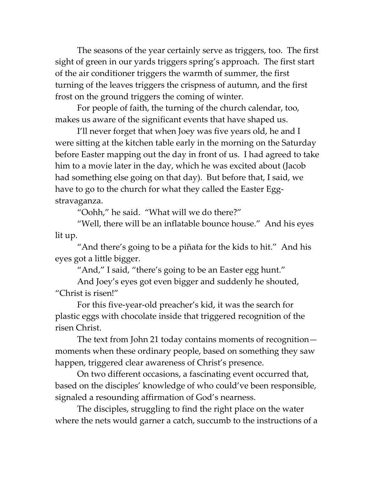The seasons of the year certainly serve as triggers, too. The first sight of green in our yards triggers spring's approach. The first start of the air conditioner triggers the warmth of summer, the first turning of the leaves triggers the crispness of autumn, and the first frost on the ground triggers the coming of winter.

For people of faith, the turning of the church calendar, too, makes us aware of the significant events that have shaped us.

I'll never forget that when Joey was five years old, he and I were sitting at the kitchen table early in the morning on the Saturday before Easter mapping out the day in front of us. I had agreed to take him to a movie later in the day, which he was excited about (Jacob had something else going on that day). But before that, I said, we have to go to the church for what they called the Easter Eggstravaganza.

"Oohh," he said. "What will we do there?"

"Well, there will be an inflatable bounce house." And his eyes lit up.

"And there's going to be a piñata for the kids to hit." And his eyes got a little bigger.

"And," I said, "there's going to be an Easter egg hunt."

And Joey's eyes got even bigger and suddenly he shouted, "Christ is risen!"

For this five-year-old preacher's kid, it was the search for plastic eggs with chocolate inside that triggered recognition of the risen Christ.

The text from John 21 today contains moments of recognition moments when these ordinary people, based on something they saw happen, triggered clear awareness of Christ's presence.

On two different occasions, a fascinating event occurred that, based on the disciples' knowledge of who could've been responsible, signaled a resounding affirmation of God's nearness.

The disciples, struggling to find the right place on the water where the nets would garner a catch, succumb to the instructions of a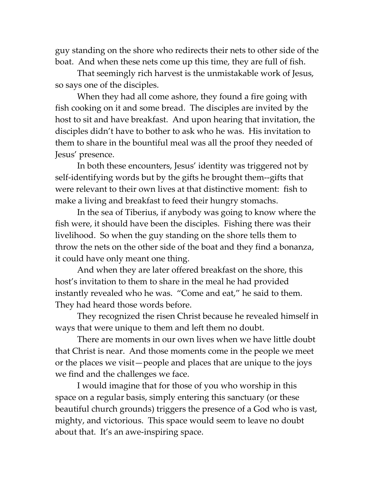guy standing on the shore who redirects their nets to other side of the boat. And when these nets come up this time, they are full of fish.

That seemingly rich harvest is the unmistakable work of Jesus, so says one of the disciples.

When they had all come ashore, they found a fire going with fish cooking on it and some bread. The disciples are invited by the host to sit and have breakfast. And upon hearing that invitation, the disciples didn't have to bother to ask who he was. His invitation to them to share in the bountiful meal was all the proof they needed of Jesus' presence.

In both these encounters, Jesus' identity was triggered not by self-identifying words but by the gifts he brought them--gifts that were relevant to their own lives at that distinctive moment: fish to make a living and breakfast to feed their hungry stomachs.

In the sea of Tiberius, if anybody was going to know where the fish were, it should have been the disciples. Fishing there was their livelihood. So when the guy standing on the shore tells them to throw the nets on the other side of the boat and they find a bonanza, it could have only meant one thing.

And when they are later offered breakfast on the shore, this host's invitation to them to share in the meal he had provided instantly revealed who he was. "Come and eat," he said to them. They had heard those words before.

They recognized the risen Christ because he revealed himself in ways that were unique to them and left them no doubt.

There are moments in our own lives when we have little doubt that Christ is near. And those moments come in the people we meet or the places we visit—people and places that are unique to the joys we find and the challenges we face.

I would imagine that for those of you who worship in this space on a regular basis, simply entering this sanctuary (or these beautiful church grounds) triggers the presence of a God who is vast, mighty, and victorious. This space would seem to leave no doubt about that. It's an awe-inspiring space.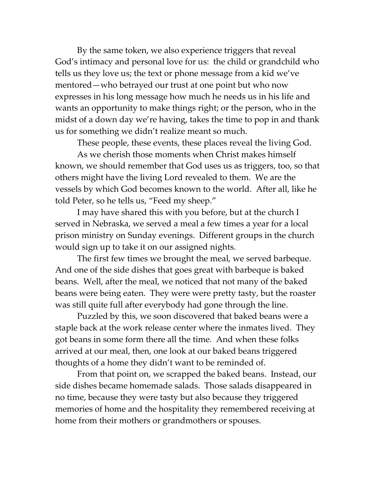By the same token, we also experience triggers that reveal God's intimacy and personal love for us: the child or grandchild who tells us they love us; the text or phone message from a kid we've mentored—who betrayed our trust at one point but who now expresses in his long message how much he needs us in his life and wants an opportunity to make things right; or the person, who in the midst of a down day we're having, takes the time to pop in and thank us for something we didn't realize meant so much.

These people, these events, these places reveal the living God.

As we cherish those moments when Christ makes himself known, we should remember that God uses us as triggers, too, so that others might have the living Lord revealed to them. We are the vessels by which God becomes known to the world. After all, like he told Peter, so he tells us, "Feed my sheep."

I may have shared this with you before, but at the church I served in Nebraska, we served a meal a few times a year for a local prison ministry on Sunday evenings. Different groups in the church would sign up to take it on our assigned nights.

The first few times we brought the meal, we served barbeque. And one of the side dishes that goes great with barbeque is baked beans. Well, after the meal, we noticed that not many of the baked beans were being eaten. They were were pretty tasty, but the roaster was still quite full after everybody had gone through the line.

Puzzled by this, we soon discovered that baked beans were a staple back at the work release center where the inmates lived. They got beans in some form there all the time. And when these folks arrived at our meal, then, one look at our baked beans triggered thoughts of a home they didn't want to be reminded of.

From that point on, we scrapped the baked beans. Instead, our side dishes became homemade salads. Those salads disappeared in no time, because they were tasty but also because they triggered memories of home and the hospitality they remembered receiving at home from their mothers or grandmothers or spouses.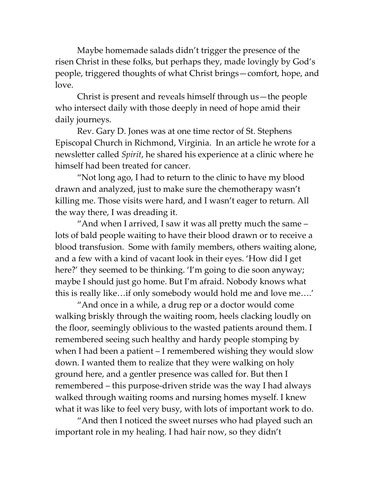Maybe homemade salads didn't trigger the presence of the risen Christ in these folks, but perhaps they, made lovingly by God's people, triggered thoughts of what Christ brings—comfort, hope, and love.

Christ is present and reveals himself through us—the people who intersect daily with those deeply in need of hope amid their daily journeys.

Rev. Gary D. Jones was at one time rector of St. Stephens Episcopal Church in Richmond, Virginia. In an article he wrote for a newsletter called *Spirit*, he shared his experience at a clinic where he himself had been treated for cancer.

"Not long ago, I had to return to the clinic to have my blood drawn and analyzed, just to make sure the chemotherapy wasn't killing me. Those visits were hard, and I wasn't eager to return. All the way there, I was dreading it.

"And when I arrived, I saw it was all pretty much the same – lots of bald people waiting to have their blood drawn or to receive a blood transfusion. Some with family members, others waiting alone, and a few with a kind of vacant look in their eyes. 'How did I get here?' they seemed to be thinking. 'I'm going to die soon anyway; maybe I should just go home. But I'm afraid. Nobody knows what this is really like…if only somebody would hold me and love me….'

"And once in a while, a drug rep or a doctor would come walking briskly through the waiting room, heels clacking loudly on the floor, seemingly oblivious to the wasted patients around them. I remembered seeing such healthy and hardy people stomping by when I had been a patient – I remembered wishing they would slow down. I wanted them to realize that they were walking on holy ground here, and a gentler presence was called for. But then I remembered – this purpose-driven stride was the way I had always walked through waiting rooms and nursing homes myself. I knew what it was like to feel very busy, with lots of important work to do.

"And then I noticed the sweet nurses who had played such an important role in my healing. I had hair now, so they didn't